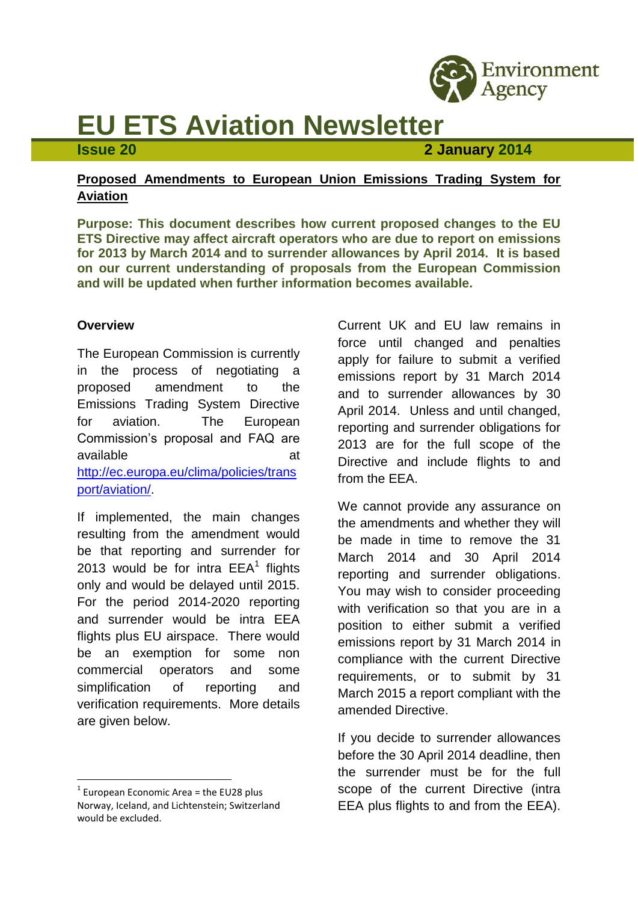

# **EU ETS Aviation Newsletter**

**Issue 20 2 January 2014**

# **Proposed Amendments to European Union Emissions Trading System for Aviation**

**Purpose: This document describes how current proposed changes to the EU ETS Directive may affect aircraft operators who are due to report on emissions for 2013 by March 2014 and to surrender allowances by April 2014. It is based on our current understanding of proposals from the European Commission and will be updated when further information becomes available.**

### **Overview**

The European Commission is currently in the process of negotiating a proposed amendment to the Emissions Trading System Directive for aviation. The European Commission's proposal and FAQ are available at a structure at a structure at a structure at a structure at a structure at a structure at a structure at a structure at a structure at a structure at a structure at a structure at  $\alpha$  structure at a structure [http://ec.europa.eu/clima/policies/trans](http://ec.europa.eu/clima/policies/transport/aviation/) [port/aviation/.](http://ec.europa.eu/clima/policies/transport/aviation/)

If implemented, the main changes resulting from the amendment would be that reporting and surrender for 2013 would be for intra  $EEA^1$  flights only and would be delayed until 2015. For the period 2014-2020 reporting and surrender would be intra EEA flights plus EU airspace. There would be an exemption for some non commercial operators and some simplification of reporting and verification requirements. More details are given below.

1

Current UK and EU law remains in force until changed and penalties apply for failure to submit a verified emissions report by 31 March 2014 and to surrender allowances by 30 April 2014. Unless and until changed, reporting and surrender obligations for 2013 are for the full scope of the Directive and include flights to and from the FFA

We cannot provide any assurance on the amendments and whether they will be made in time to remove the 31 March 2014 and 30 April 2014 reporting and surrender obligations. You may wish to consider proceeding with verification so that you are in a position to either submit a verified emissions report by 31 March 2014 in compliance with the current Directive requirements, or to submit by 31 March 2015 a report compliant with the amended Directive.

If you decide to surrender allowances before the 30 April 2014 deadline, then the surrender must be for the full scope of the current Directive (intra EEA plus flights to and from the EEA).

 $1$  European Economic Area = the EU28 plus Norway, Iceland, and Lichtenstein; Switzerland would be excluded.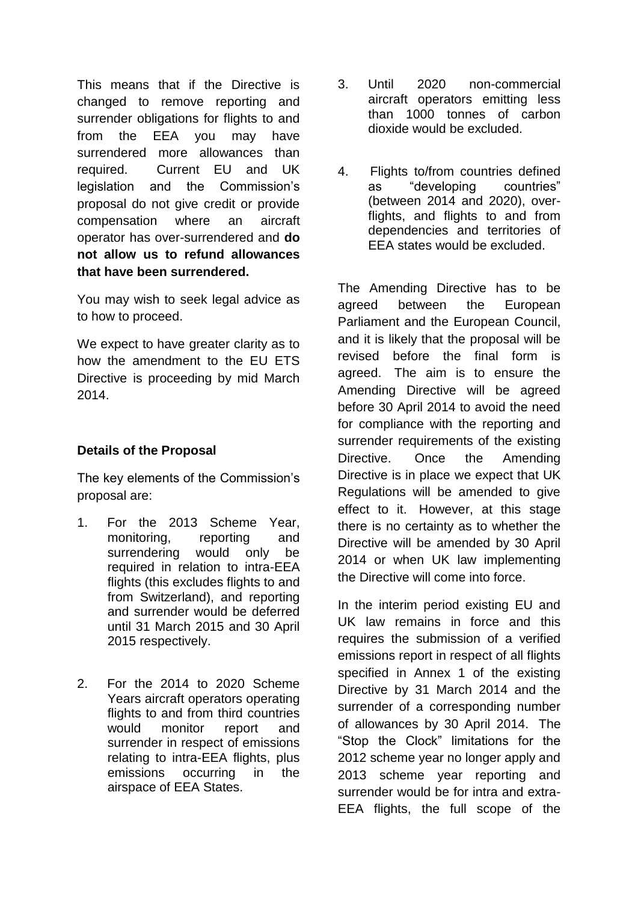This means that if the Directive is changed to remove reporting and surrender obligations for flights to and from the EEA you may have surrendered more allowances than required. Current EU and UK legislation and the Commission's proposal do not give credit or provide compensation where an aircraft operator has over-surrendered and **do not allow us to refund allowances that have been surrendered.**

You may wish to seek legal advice as to how to proceed.

We expect to have greater clarity as to how the amendment to the EU ETS Directive is proceeding by mid March 2014.

# **Details of the Proposal**

The key elements of the Commission's proposal are:

- 1. For the 2013 Scheme Year, monitoring, reporting and surrendering would only be required in relation to intra-EEA flights (this excludes flights to and from Switzerland), and reporting and surrender would be deferred until 31 March 2015 and 30 April 2015 respectively.
- 2. For the 2014 to 2020 Scheme Years aircraft operators operating flights to and from third countries would monitor report and surrender in respect of emissions relating to intra-EEA flights, plus emissions occurring in the airspace of EEA States.
- 3. Until 2020 non-commercial aircraft operators emitting less than 1000 tonnes of carbon dioxide would be excluded.
- 4. Flights to/from countries defined as "developing countries" (between 2014 and 2020), overflights, and flights to and from dependencies and territories of EEA states would be excluded.

The Amending Directive has to be agreed between the European Parliament and the European Council, and it is likely that the proposal will be revised before the final form is agreed. The aim is to ensure the Amending Directive will be agreed before 30 April 2014 to avoid the need for compliance with the reporting and surrender requirements of the existing Directive. Once the Amending Directive is in place we expect that UK Regulations will be amended to give effect to it. However, at this stage there is no certainty as to whether the Directive will be amended by 30 April 2014 or when UK law implementing the Directive will come into force.

In the interim period existing EU and UK law remains in force and this requires the submission of a verified emissions report in respect of all flights specified in Annex 1 of the existing Directive by 31 March 2014 and the surrender of a corresponding number of allowances by 30 April 2014. The "Stop the Clock" limitations for the 2012 scheme year no longer apply and 2013 scheme year reporting and surrender would be for intra and extra-EEA flights, the full scope of the